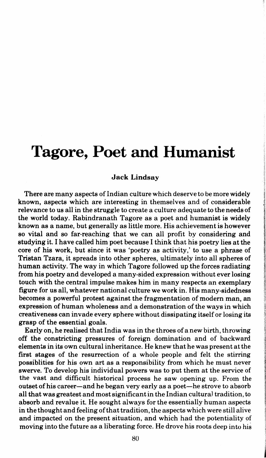## **Tagore, Poet and Humanist**

## Jack Lindsay

There are many aspects of Indian culture which deserve to be more widely known, aspects which are interesting in themselves and of considerable relevance to us all in the struggle to create a culture adequate totheneedsof the world today. Rabindranath Tagore as a poet and humanist is widely known as a name, but generally as little more. His achievement is however so vital and so far-reaching that we can all profit by considering and studying it. I have called him poet because I think that his poetry lies at the core of his work, but since it was 'poetry as activity,' to use a phrase of Tristan Tzara, it spreads into other spheres, ultimately into all spheres of human activity. The way in which Tagore followed up the forces radiating from his poetry and developed a many-sided expression without ever losing touch with the central impulse makes him in many respects an exemplary figure for us all, whatever national culture we work in. His many-sidedness becomes a powerful protest against the fragmentation of modern man, an expression of human wholeness and a demonstration of the ways in which creativeness can invade every sphere without dissipating itself or losing its grasp of the essential goals.

Early on, he realised that India was in the throes of a new birth, throwing off the constricting pressures of foreign domination and of backward elements in its own cultural inheritance. He knew that he was present at the first stages of the resurrection of a whole people and felt the stirring possiblities for his own art as a responsibility from which he must never swerve. To develop his individual powers was to put them at the service of the vast and difficult historical process he saw opening up. From the outset of his career-and he began very early as a poet-he strove to absorb all that was greatest and most significant in the Indian cultural tradition, to absorb and revalue it. He sought always for the essentially human aspects in the thought and feeling of that tradition, the aspects which were still alive and impacted on the present situation, and which had the potentiality of moving into the future as a liberating force. He drove his roots deep into his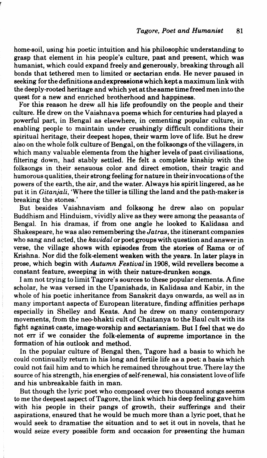home-soil, using his poetic intuition and his philosophic understanding to grasp that element in his people's culture, past and present, which was humanist, which could expand freely and generously, breaking through all bonds that tethered men to limited or sectarian ends. He never paused in seeking for the definitions and expressions which kept a maximum link with the deeply-rooted heritage and which yet at the same time freed men into the quest for a new and enriched brotherhood and happiness.

For this reason he drew all his life profoundly on the people and their culture. He drew on the Vaishnava poems which for centuries had played a powerful part, in Bengal as elsewhere, in cementing popular culture, in enabling people to maintain under crushingly difficult conditions their spiritual heritage, their deepest hopes, their warm love of life. But he drew also on the whole folk culture of Bengal, on the folksongs of the villagers, in which many valuable elements from the higher levels of past civilisations, filtering down, had stably settled. He felt a complete kinship with the folksongs in their sensuous color and direct emotion, their tragic and humorous qualities, their strong feeling for nature in their invocations of the powers of the earth, the air, and the water. Always his spirit lingered, as he put it in *Gitanjali,* 'Where the tiller is tilling the land and the path-maker is breaking the stones.'

But besides Vaishnavism and folksong he drew also on popular Buddhism and Hinduism, vividly alive as they were among the peasants of Bengal. In his dramas, if from one angle he looked to Kalidasa and Shakespeare, he was also remembering the *Jatras,* the itinerant companies who sang and acted, the *kavidal* or poet groups with question and answer in verse, the village shows with episodes from the stories of Rama or of Krishna. Nor did the folk-element weaken with the years. In later plays in prose, which begin with *Autumn Festival* in 1908, wild revellers become a constant feature, sweeping in with their nature-drunken songs.

I am not trying to limit Tagore's sources to these popular elements. A fine scholar, he was versed in the Upanishads, in Kalidasa and Kabir, in the whole of his poetic inheritance from Sanskrit days onwards, as well as in many important aspects of European literature, finding affinities perhaps especially in Shelley and Keats. And he drew on many contemporary mpvements, from the neo-bhakti cult of Chaitanya to the Baul cult with its fight against caste, image-worship and sectarianism. But I feel that we do not err if we consider the folk-elements of supreme importance in the formation of his outlook and method.

In the popular culture of Bengal then, Tagore had a basis to which he could continually return in his long and fertile life as a poet: a basis which could not fail him and to which he remained throughout true. There lay the source of his strength, his energies of self-renewal, his consistent love of life and his unbreakable faith in man.

But though the lyric poet who composed over two thousand songs seems to me the deepest aspect of Tagore, the link which his deep feeling gave him with his people in their pangs of growth, their sufferings and their aspirations, ensured that he would be much more than a lyric poet, that he would seek to dramatise the situation and to set it out in novels, that he would seize every possible form and occasion for presenting the human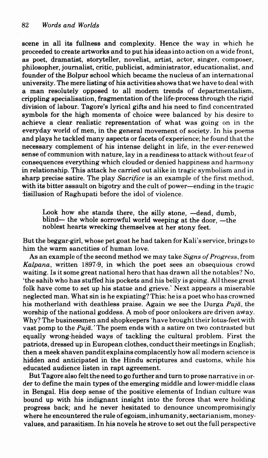scene in all its fullness and complexity. Hence the way in which he proceeded to create artworks and to put his ideas into action on a wide front, as poet, dramatist, storyteller, novelist, artist, actor, singer, composer, philosopher, journalist, critic, publicist, administrator, educationalist, and founder of the Bolpur school which became the nucleus of an international university. The mere listing of his activities shows that we have to deal with a man resolutely opposed to all modem trends of departmentalism, crippling specialisation, fragmentation of the life-process through the rigid division of labour. Tagore's lyrical gifts and his need to find concentrated symbols for the high moments of choice were balanced by his desire to achieve a clear realistic representation of what was going on in the everyday world of men, in the general movement of society. In his poems and plays he tackled many aspects or facets of experience; he found that the necessary complement of his intense delight in life, in the ever-renewed sense of communion with nature, lay in a readiness to attack without fear of consequences everything which clouded or denied happiness and harmony in relationship. This attack he carried out alike in tragic symbolism and in sharp precise satire. The play *Sacrifice* is an example of the first method, with its bitter assault on bigotry and the cult of power-ending in the tragic disillusion of Raghupati before the idol of violence.

Look how she stands there, the silly stone, -dead, dumb,  $blind$ — the whole sorrowful world weeping at the door,  $-$ the noblest hearts wrecking themselves at her stony feet.

But the beggar-girl, whose pet goat he had taken for Kali's service, brings to him the warm sanctities of human love.

As an example of the second method we may take *Signs of Progress,* from *Kalpana,* written 1897-9, in which the poet sees an obsequious crowd waiting. Is it some great national hero that has drawn all the notables? No, 'the sahib who has stuffed his pockets and his belly is going. All these great folk have come to set up his statue and grieve.' Next appears a miserable neglected man. What sin is he expiating? This: he is a poet who has crowned his motherland with deathless praise. Again we see the Durga  $Puj\bar{a}$ , the worship of the national goddess. A mob of poor onlookers are driven away. Why? The businessmen and shopkeepers 'have brought their lotus-feet with vast pomp to the  $Puj\bar{a}$ . The poem ends with a satire on two contrasted but equally wrong-headed ways of tackling the cultural problem. First the patriots, dressed up in European clothes, conduct their meetings in English; then a meek shaven pandit explains complacently how all modern science is hidden and anticipated in the Hindu scriptures and customs, while his educated audience listen in rapt agreement.

But Tagore also felt the need to go further and turn to prose narrative in order to define the main types of the emerging middle and lower-middle class in Bengal. His deep sense of the positive elements of Indian culture was bound up with his indignant insight into the forces that were holding progress back; and he never hesitated to denounce uncompromisingly where he encountered the rule of egoism, inhumanity, sectarianism, money· values, and parasitism. In his novels he strove to set out the full perspective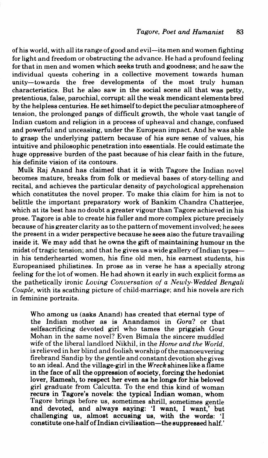of his world, with all its range of good and evil-its men and women fighting for light and freedom or obstructing the advance. He had a profound feeling for that in men and women which seeks truth and goodness; and he saw the individual quests cohering in a collective movement towards human unity-towards the free developments of the most truly human characteristics. But he also saw in the social scene all that was petty, pretentious, false, parochial, corrupt: all the weak mendicant elements bred by the helpless centuries. He set himself to depict the peculiar atmosphere of tension, the prolonged pangs of difficult growth, the whole vast tangle of Indian custom and religion in a process of upheaval and change, confused and powerful and unceasing, under the European impact. And he was able to grasp the underlying pattern because of his sure sense of values, his intuitive and philosophic penetration into essentials. He could estimate the huge oppressive burden of the past because of his clear faith in the future, his definite vision of its contours.

Mulk Raj Anand has claimed that it is with Tagore the Indian novel becomes mature, breaks from folk or medieval bases of story-telling and recital, and achieves the particular density of psychological apprehension which constitutes the novel proper. To make this claim for him is not to belittle the important preparatory work of Bankim Chandra Chatterjee, which at its best has no doubt a greater vigour than Tagore achieved in his prose. Tagore is able to create his fuller and more complex picture precisely because of his greater clarity as to the pattern of movement involved; he sees the present in a wider perspective because he sees also the future travailing inside it. We may add that he owns the gift of maintaining humour m the midst of tragic tension; and that he gives us a wide gallery of Indian typesin his tenderhearted women, his fine old men, his earnest students, his Europeanised philistines. In prose as in verse he has a specially strong feeling for the lot of women. He had shown it early in such explicit forms as the pathetically ironic *Loving Conversation of a Newly- Wedded Bengali Couple,* with its scathing picture of child-marriage; and his novels are rich in feminine portraits.

Who among us (asks Anand) has created that eternal type of the Indian mother as is Anandamoi in *Gora?* or that selfsacrificing devoted girl who tames the priggish Gour Mohan in the same novel? Even Bimala the sincere muddled wife of the liberal landlord Nikhil, in the *Home and the World,*  is relieved in her blind and foolish worship of the manoeuvering firebrand Sandip by the gentle and constant devotion she gives to an ideal. And the village-girl in the *Wreck* shines like a flame in the face of all the oppression of society, forcing the hedonist lover, Ramesh, to respect her even as he longs for his beloved girl graduate from Calcutta. To the end this kind of woman recurs in Tagore's novels: the typical Indian woman, whom Tagore brings before us, sometimes shrill, sometimes gentle and devoted, and always saying: 'I want, I want,' but challenging us, almost accusing us, with the words: 'I constitute one-half of Indian civilisation-the suppressed half.'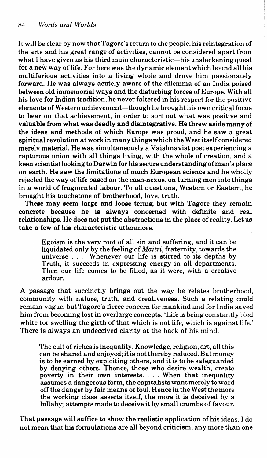It will be clear by now that Tagore's rewrn to the people, his reintegration of the arts and his great range of activities, cannot be considered apart from what I have given as his third main characteristic—his unslackening quest for a new way of life. For here was the dynamic element which bound all his multifarious activities into a living whole and drove him passionately forward. He was always acutely aware of the dilemma of an India poised between old immemorial ways and the disturbing forces of Europe. With all his love for Indian tradition, he never faltered in his respect for the positive elements of Western achievement-though he brought his own critical focus to bear on that achievement, in order to sort out what was positive and valuable from what was deadly and disintegrative. He threw aside many of the ideas and methods of which Europe was proud, and he saw a great spiritual revolution at work in many things which the West itself considered merely material. He was simultaneously a Vaishnavist poet experiencing a rapturous union with all things living, with the whole of creation, and a keen scientist looking to Darwin for his secure understanding of man's place on earth. He saw the limitations of much European science and he wholly rejected the way of life based on the cash-nexus, on turning men into things in a world of fragmented labour. To all questions, Western or Eastern, he brought his touchstone of brotherhood, love, truth.

These may seem large and loose terms; but with Tagore they remain concrete because he is always concerned with definite and real relationships. He does not put the abstractions in the place of reality. Let us take a few of his characteristic utterances:

Egoism is the very root of all sin and suffering, and it can be liquidated only by the feeling of *Maitri,* fraternity, towards the universe . . . Whenever our life is stirred to its depths by Truth, it succeeds in expressing energy in all departments. Then our life comes to be filled, as it were, with a creative ardour.

A passage that succinctly brings out the way he relates brotherhood, community with nature, truth, and creativeness. Such a relating could remain vague, but Tagore's fierce concern for mankind and for India saved him from becoming lost in overlarge concepts. 'Life is being constantly bled white for swelling the girth of that which is not life, which is against life.' There is always an undeceived clarity at the back of his mind.

The cult of riches is inequality. Knowledge, religion, art, all this can be shared and enjoyed; it is not thereby reduced. But money is to be earned by exploiting others, and it is to be safeguarded by denying others. Thence, those who desire wealth, create poverty in their own interests .... When that inequality assumes a dangerous form, the capitalists want merely to ward off the danger by fair means or foul. Hence in the West the more the working class asserts itself, the more it is deceived by a lullaby; attempts made to deceive it by small crumbs of favour.

That passage will suffice to show the realistic application of his ideas. I do not mean that his formulations are all beyond criticism, any more than one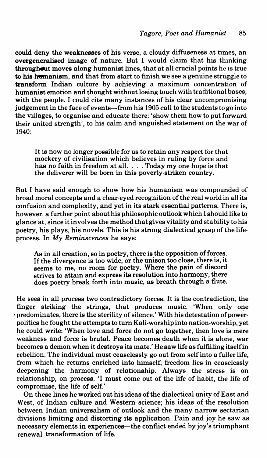could deny the weaknesses of his verse, a cloudy diffuseness at times, an overgeneralised image of nature. But I would claim that his thinking throughout moves along humanist lines, that at all crucial points he is true to his humanism, and that from start to finish we see a genuine struggle to transform Indian culture by achieving a maximum concentration of humanist emotion and thought without losing touch with traditional bases, with the people. I could cite many instances of his clear uncompromising judgement in the face of events-from his 1905 call to the students to go into the villages, to organise and educate there: 'show them how to put forward their united strength', to his calm and anguished statement on the war of 1940:

It is now no longer possible for us to retain any respect for that mockery of civilisation which believes in ruling by force and has no faith in freedom at all. . . . Today my one hope is that the deliverer will be born in this poverty-striken country.

But I have said enough to show how his humanism was compounded of broad moral concepts and a clear-eyed recognition of the real world in all its confusion and complexity, and yet in its stark essential patterns. There is, however, a further point about his philosophic outlook which I should like to glance at, since it involves the method that gives vitality and stability to his poetry, his plays, his novels. This is his strong dialectical grasp of the lifeprocess. In *My Reminscences* he says:

As in all creation, so in poetry, there is the opposition of forces. If the divergence is too wide, or the unison too close, there is, it seems to me, no room for poetry. Where the pain of discord strives to attain and express its resolution into harmony, there does poetry break forth into music, as breath through a flute.

He sees in all process two contradictory forces. It is the contradiction, the finger striking the strings, that produces music. 'When only one ·predominates, there is the sterility of silence.' With his detestation of powerpolitics he fought the attempts to tum Kali-worship into nation-worship, yet he could write: 'When love and force do not go together, then love is mere weakness and force is brutal. Peace becomes death when it is alone, war becomes a demon when it destroys its mate.' He saw life as fulfilling itself in rebellion. The individual must ceaselessly go out from self into a fuller life, from which he returns enriched into himself; freedom lies in ceaselessly deepening the harmony of relationship. Always the stress is on relationship, on process. 'I must come out of the life of habit, the life of compromise, the life of self.'

On these lines he worked out his ideas of the dialectical unity of East and West, of Indian culture and Western science; his ideas of the resolution between Indian universalism of outlook and the many narrow sectarian divisions limiting and distorting its application. Pain and joy he saw as necessary elements in experiences-the conflict ended by joy's triumphant renewal transformation of life.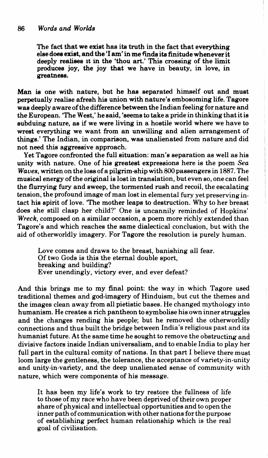The fact that we exist has its truth in the fact that everything else does exist, and the 'I am' in me finds its finitude whenever it deeply realises lt in the 'thou art.' This crossing of the limit produces joy, the joy that we have in beauty, in love, in greatness.

Man is one with nature, but he has separated himself out and must perpetually realise afresh his union with nature's embosoming life. Tagore was deeply aware of the difference between the Indian feeling for nature and the European. 'The West,' he said, 'seems to take a pride in thinking that it is subduing nature, as if we were living in a hostile world where we have to wrest everything we want from an unwilling and alien arrangement of things.' The Indian, in comparison, was unalienated from nature and did not need this aggressive approach.

Yet Tagore confronted the full situation: man's separation as well as his unity with nature. One of his greatest expressions here is the poem *Sea Waves,* written on the loss of a pilgrim-ship with 800 passengers in 1887. The musical energy of the original is lost in translation, but even so, one can feel the flurrying fury and sweep, the tormented rush and recoil, the escalating tension, the profound image of man lost in elemental fury yet preserving intact his spirit of love. 'The mother leaps to destruction. Why to her breast does she still clasp her child?' One is uncannily reminded of Hopkins' *Wreck,* composed on a similar occasion, a poem more richly extended than Tagore's and which reaches the same dialectical conclusion, but with the aid of otherworldly imagery. For Tagore the resolution is purely human.

Love comes and draws to the breast, banishing all fear. Of two Gods is this the eternal double sport, breaking and building? Ever unendingly, victory ever, and ever defeat?

And this brings me to my final point: the way in which Tagore used traditional themes and god-imagery of Hinduism, but cut the themes and the images clean away from all pietistic bases. He changed mythology into humanism. He creates a rich pantheon to symbolise his own inner struggles and the changes rending his people; but he removed the otherworldly connections and thus built the bridge between India's religious past and its humanist future. At the same time he sought to remove the obstructing and divisive factors inside Indian universalism, and to enable India to play her full part in the cultural comity of nations. In that part I believe there must loom large the gentleness, the tolerance, the acceptance of variety-in-unity and unity-in-variety, and the deep unalienated sense of community with nature, which were components of his message.

It has been my life's work to try restore the fullness of life to those of my race who have been deprived of their own proper share of physical and intellectual opportunities and to open the inner path of communication with other nations for the purpose of establishing perfect human relationship which is the real goal of civilisation.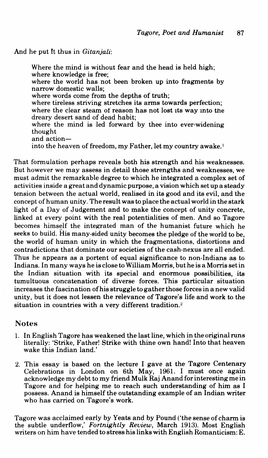And he put ft thus in *Gitanjali:* 

Where the mind is without fear and the head is held high; where knowledge is free; where the world has not been broken up into fragments by narrow domestic walls; where words come from the depths of truth; where tireless striving stretches its arms towards perfection; where the clear steam of reason has not lost 1ts way mto the dreary desert sand of dead habit; where the mind is led forward by thee into ever-widening thought and actioninto the heaven of freedom, my Father, let my country awake.<sup>1</sup>

That formulation perhaps reveals both his strength and his weaknesses. But however we may assess in detail those strengths and weaknesses, we must admit the remarkable degree to which he integrated a complex set of activities inside a great and dynamic purpose, a vision which set up a steady tension between the actual world, realised in its good and its evil, and the concept of human unity. The result was to place the actual world in the stark light of a Day of Judgement and to make the concept of unity concrete, linked at every point with the real potentialities of men. And so Tagore becomes himself the integrated man of the humanist future which he seeks to build. His many-sided unity becomes the pledge of the world to be, the world of human unity in which the fragmentations, distortions and contradictions that dominate our societies of the cash-nexus are all ended. Thus he appears as a portent of equal significance to non-Indians as to Indians. In many ways he is close to William Morris, but he is a Morris set in the Indian situation with its special and enormous possibilities, its tumultuous concatenation of diverse forces. This particular situation increases the fascination of his struggle to gather those forces in a new valid unity, but it does not lessen the relevance of Tagore's life and work to the situation in countries with a very different tradition.<sup>2</sup>

## Notes

- 1. In English Tagore has weakened the last line, which in the original runs literally: 'Strike, Father! Strike with thine own hand! Into that heaven wake this Indian land.'
- 2. This essay is based on the lecture I gave at the Tagore Centenary Celebrations in London on 6th May, 1961. I must once again acknowledge my debt to my friend Mulk Raj Anand for interesting me in Tagore and for helping me to reach such understanding of him as I possess. Anand is himself the outstanding example of an Indian writer who has carried on Tagore's work.

Tagore was acclaimed early by Yeats and by Pound ('the sense of charm is the subtle underflow,' *Fortnightly Review,* March 1913). Most English writers on him have tended to stress his links with English Romanticism: E.